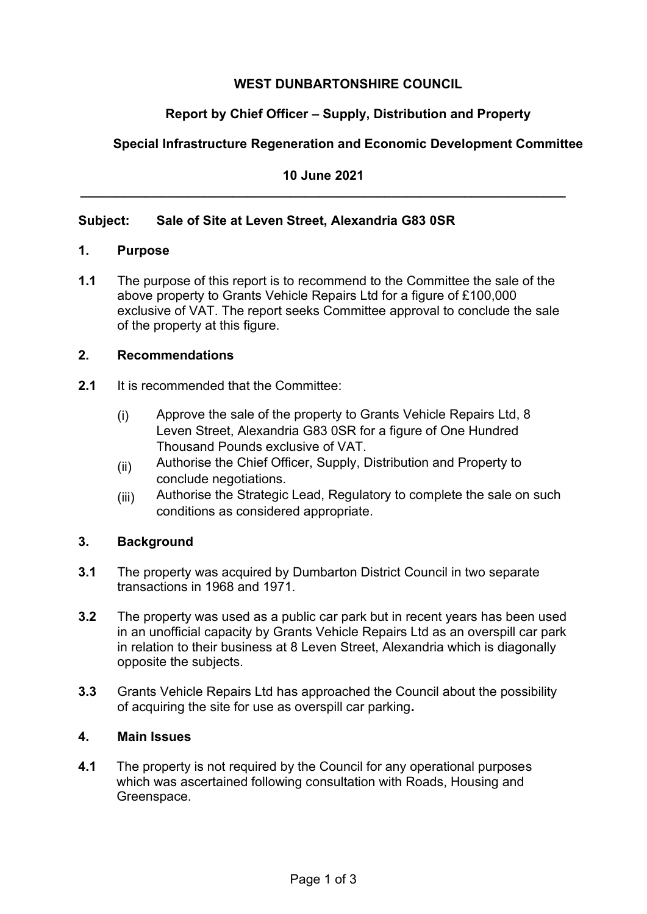# **WEST DUNBARTONSHIRE COUNCIL**

# **Report by Chief Officer – Supply, Distribution and Property**

# **Special Infrastructure Regeneration and Economic Development Committee**

**10 June 2021 \_\_\_\_\_\_\_\_\_\_\_\_\_\_\_\_\_\_\_\_\_\_\_\_\_\_\_\_\_\_\_\_\_\_\_\_\_\_\_\_\_\_\_\_\_\_\_\_\_\_\_\_\_\_\_\_\_\_\_\_\_\_\_\_\_\_\_** 

## **Subject: Sale of Site at Leven Street, Alexandria G83 0SR**

#### **1. Purpose**

**1.1** The purpose of this report is to recommend to the Committee the sale of the above property to Grants Vehicle Repairs Ltd for a figure of £100,000 exclusive of VAT. The report seeks Committee approval to conclude the sale of the property at this figure.

#### **2. Recommendations**

- **2.1** It is recommended that the Committee:
	- (i) Approve the sale of the property to Grants Vehicle Repairs Ltd, 8 Leven Street, Alexandria G83 0SR for a figure of One Hundred Thousand Pounds exclusive of VAT.
	- (ii) Authorise the Chief Officer, Supply, Distribution and Property to conclude negotiations.
	- (iii) Authorise the Strategic Lead, Regulatory to complete the sale on such conditions as considered appropriate.

# **3. Background**

- **3.1** The property was acquired by Dumbarton District Council in two separate transactions in 1968 and 1971.
- **3.2** The property was used as a public car park but in recent years has been used in an unofficial capacity by Grants Vehicle Repairs Ltd as an overspill car park in relation to their business at 8 Leven Street, Alexandria which is diagonally opposite the subjects.
- **3.3** Grants Vehicle Repairs Ltd has approached the Council about the possibility of acquiring the site for use as overspill car parking**.**

## **4. Main Issues**

**4.1** The property is not required by the Council for any operational purposes which was ascertained following consultation with Roads, Housing and Greenspace.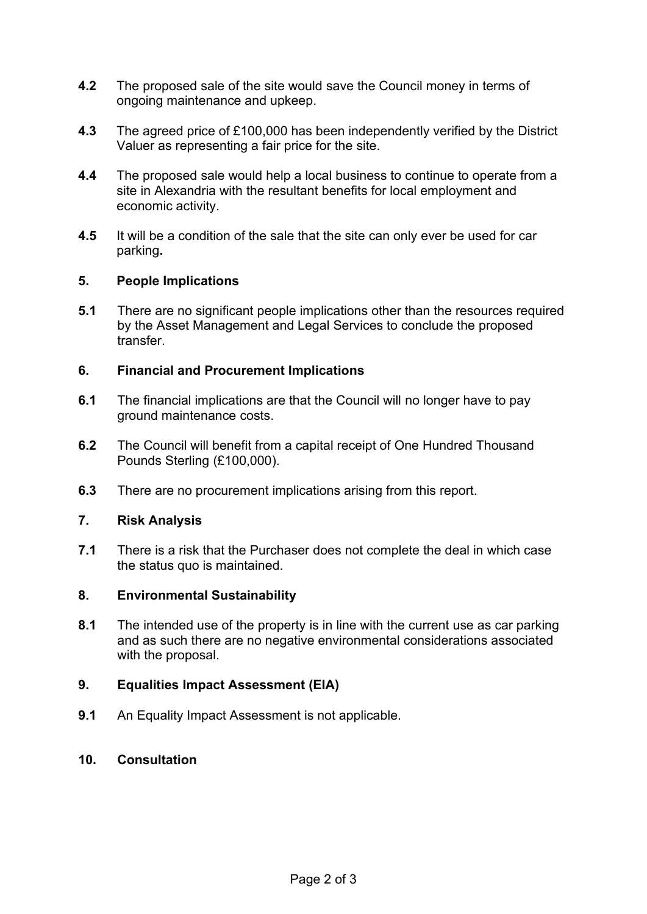- **4.2** The proposed sale of the site would save the Council money in terms of ongoing maintenance and upkeep.
- **4.3** The agreed price of £100,000 has been independently verified by the District Valuer as representing a fair price for the site.
- **4.4** The proposed sale would help a local business to continue to operate from a site in Alexandria with the resultant benefits for local employment and economic activity.
- **4.5** It will be a condition of the sale that the site can only ever be used for car parking**.**

#### **5. People Implications**

**5.1** There are no significant people implications other than the resources required by the Asset Management and Legal Services to conclude the proposed transfer.

## **6. Financial and Procurement Implications**

- **6.1** The financial implications are that the Council will no longer have to pay ground maintenance costs.
- **6.2** The Council will benefit from a capital receipt of One Hundred Thousand Pounds Sterling (£100,000).
- **6.3** There are no procurement implications arising from this report.

#### **7. Risk Analysis**

**7.1** There is a risk that the Purchaser does not complete the deal in which case the status quo is maintained.

#### **8. Environmental Sustainability**

**8.1** The intended use of the property is in line with the current use as car parking and as such there are no negative environmental considerations associated with the proposal.

## **9. Equalities Impact Assessment (EIA)**

**9.1** An Equality Impact Assessment is not applicable.

#### **10. Consultation**